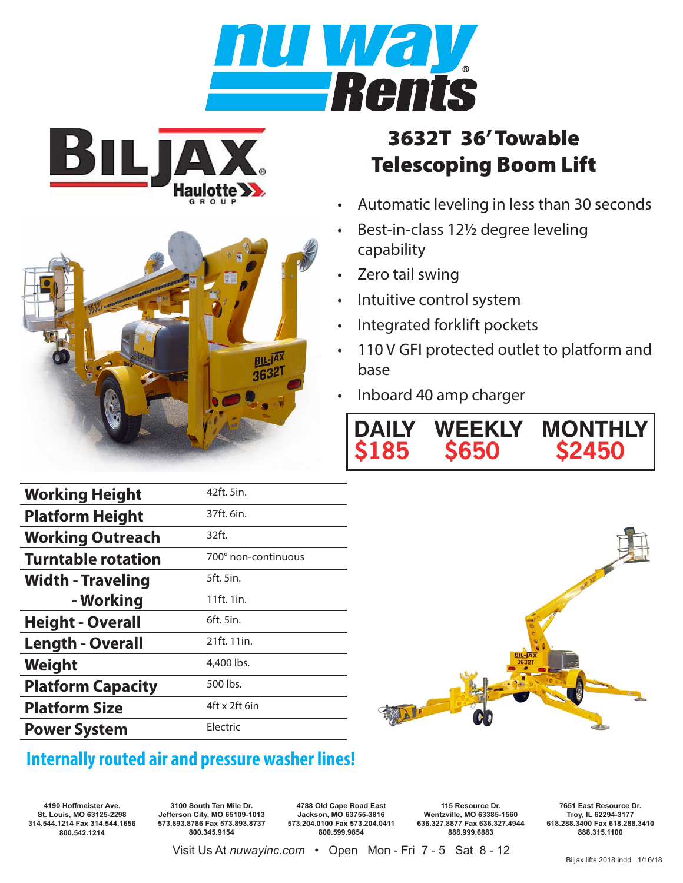





## 3632T 36' Towable Telescoping Boom Lift

- Automatic leveling in less than 30 seconds
- Best-in-class 12½ degree leveling capability
- Zero tail swing
- Intuitive control system
- Integrated forklift pockets
- 110 V GFI protected outlet to platform and base
- Inboard 40 amp charger





## **Working Height** 42ft. 5in. **Platform Height** 37ft. 6in. **Working Outreach** 32ft. **Turntable rotation** 700° non-continuous **Width - Traveling - Working** 5ft. 5in. 11ft. 1in. **Height - Overall** 6ft. 5in. Length - Overall 21ft. 11in. Weight 4,400 lbs. **Platform Capacity** 500 lbs. **Platform Size** 4ft x 2ft 6in **Power System** Electric

## **Internally routed air and pressure washer lines!**

**4190 Hoffmeister Ave. St. Louis, MO 63125-2298 314.544.1214 Fax 314.544.1656 800.542.1214**

**3100 South Ten Mile Dr. Jefferson City, MO 65109-1013 573.893.8786 Fax 573.893.8737 800.345.9154**

**4788 Old Cape Road East Jackson, MO 63755-3816 573.204.0100 Fax 573.204.0411 800.599.9854**

**115 Resource Dr. Wentzville, MO 63385-1560 636.327.8877 Fax 636.327.4944 888.999.6883**

**7651 East Resource Dr. Troy, IL 62294-3177 618.288.3400 Fax 618.288.3410 888.315.1100**

Visit Us At *nuwayinc.com* • Open Mon - Fri 7 - 5 Sat 8 - 12